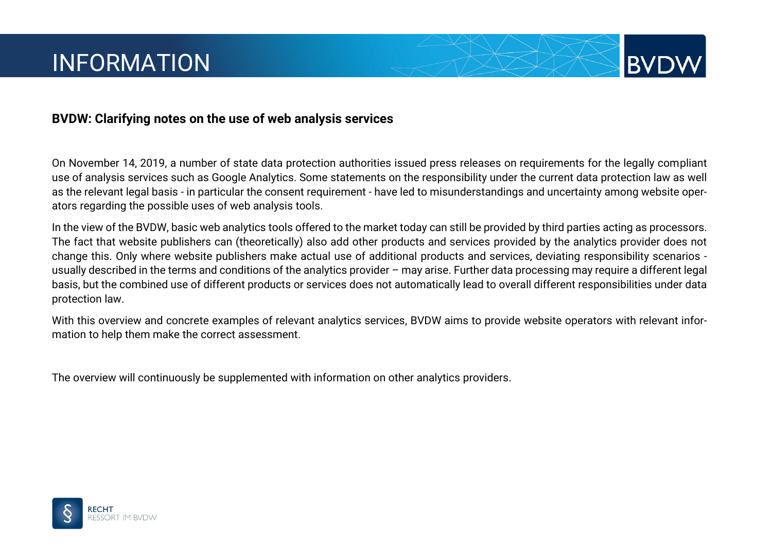

On November 14, 2019, a number of state data protection authorities issued press releases on requirements for the legally compliant use of analysis services such as Google Analytics. Some statements on the responsibility under the current data protection law as well as the relevant legal basis - in particular the consent requirement - have led to misunderstandings and uncertainty among website operators regarding the possible uses of web analysis tools.

**BVD** 

In the view of the BVDW, basic web analytics tools offered to the market today can still be provided by third parties acting as processors. The fact that website publishers can (theoretically) also add other products and services provided by the analytics provider does not change this. Only where website publishers make actual use of additional products and services, deviating responsibility scenarios usually described in the terms and conditions of the analytics provider – may arise. Further data processing may require a different legal basis, but the combined use of different products or services does not automatically lead to overall different responsibilities under data protection law.

With this overview and concrete examples of relevant analytics services, BVDW aims to provide website operators with relevant information to help them make the correct assessment.

The overview will continuously be supplemented with information on other analytics providers.